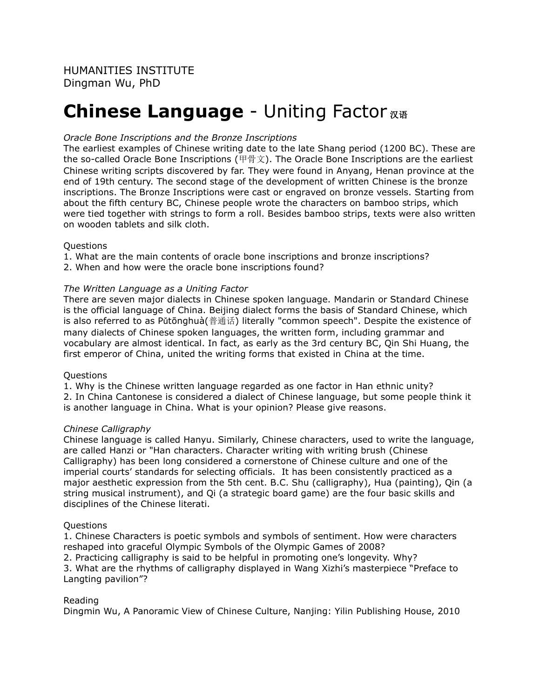# **Chinese Language** - Uniting Factor 汉语

## *Oracle Bone Inscriptions and the Bronze Inscriptions*

The earliest examples of Chinese writing date to the late Shang period (1200 BC). These are the so-called Oracle Bone Inscriptions (甲骨文). The Oracle Bone Inscriptions are the earliest Chinese writing scripts discovered by far. They were found in Anyang, Henan province at the end of 19th century. The second stage of the development of written Chinese is the bronze inscriptions. The Bronze Inscriptions were cast or engraved on bronze vessels. Starting from about the fifth century BC, Chinese people wrote the characters on bamboo strips, which were tied together with strings to form a roll. Besides bamboo strips, texts were also written on wooden tablets and silk cloth.

### Questions

1. What are the main contents of oracle bone inscriptions and bronze inscriptions? 2. When and how were the oracle bone inscriptions found?

*The Written Language as a Uniting Factor* There are seven major dialects in Chinese spoken language. Mandarin or Standard Chinese is the official language of China. Beijing dialect forms the basis of Standard Chinese, which is also referred to as Pǔtōnghuà(普通话) literally "common speech". Despite the existence of many dialects of Chinese spoken languages, the written form, including grammar and vocabulary are almost identical. In fact, as early as the 3rd century BC, Qin Shi Huang, the first emperor of China, united the writing forms that existed in China at the time.

### **Ouestions**

1. Why is the Chinese written language regarded as one factor in Han ethnic unity? 2. In China Cantonese is considered a dialect of Chinese language, but some people think it is another language in China. What is your opinion? Please give reasons.

### *Chinese Calligraphy*

Chinese language is called Hanyu. Similarly, Chinese characters, used to write the language, are called Hanzi or "Han characters. Character writing with writing brush (Chinese Calligraphy) has been long considered a cornerstone of Chinese culture and one of the imperial courts' standards for selecting officials. It has been consistently practiced as a major aesthetic expression from the 5th cent. B.C. Shu (calligraphy), Hua (painting), Qin (a string musical instrument), and Qi (a strategic board game) are the four basic skills and disciplines of the Chinese literati.

### **Ouestions**

1. Chinese Characters is poetic symbols and symbols of sentiment. How were characters reshaped into graceful Olympic Symbols of the Olympic Games of 2008? 2. Practicing calligraphy is said to be helpful in promoting one's longevity. Why? 3. What are the rhythms of calligraphy displayed in Wang Xizhi's masterpiece "Preface to Langting pavilion"?

### Reading

Dingmin Wu, A Panoramic View of Chinese Culture, Nanjing: Yilin Publishing House, 2010